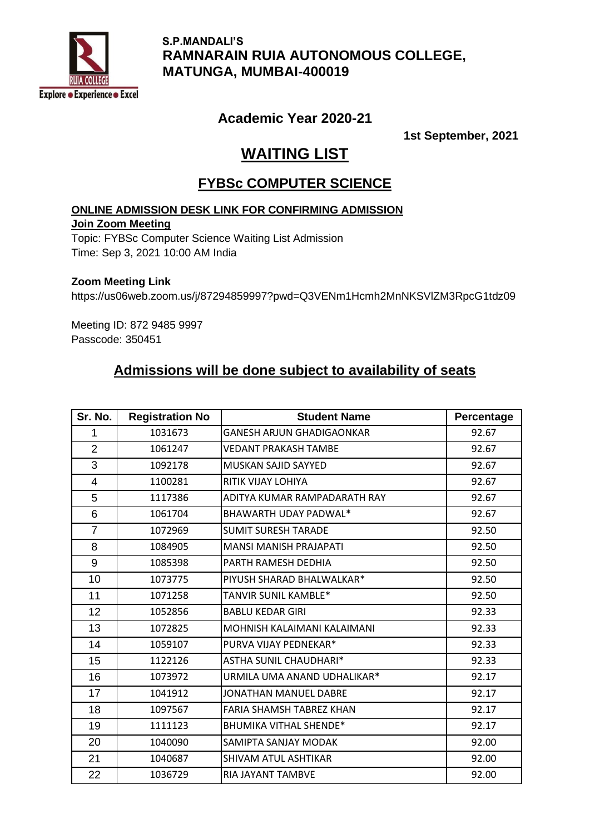

 **S.P.MANDALI'S RAMNARAIN RUIA AUTONOMOUS COLLEGE, MATUNGA, MUMBAI-400019**

## **Academic Year 2020-21**

**1st September, 2021**

# **WAITING LIST**

## **FYBSc COMPUTER SCIENCE**

### **ONLINE ADMISSION DESK LINK FOR CONFIRMING ADMISSION**

### **Join Zoom Meeting**

Topic: FYBSc Computer Science Waiting List Admission Time: Sep 3, 2021 10:00 AM India

#### **Zoom Meeting Link**

https://us06web.zoom.us/j/87294859997?pwd=Q3VENm1Hcmh2MnNKSVlZM3RpcG1tdz09

Meeting ID: 872 9485 9997 Passcode: 350451

# **Admissions will be done subject to availability of seats**

| Sr. No.        | <b>Registration No</b> | <b>Student Name</b>              | Percentage |
|----------------|------------------------|----------------------------------|------------|
| 1              | 1031673                | <b>GANESH ARJUN GHADIGAONKAR</b> | 92.67      |
| $\overline{2}$ | 1061247                | <b>VEDANT PRAKASH TAMBE</b>      | 92.67      |
| 3              | 1092178                | MUSKAN SAJID SAYYED              | 92.67      |
| $\overline{4}$ | 1100281                | RITIK VIJAY LOHIYA               | 92.67      |
| 5              | 1117386                | ADITYA KUMAR RAMPADARATH RAY     | 92.67      |
| 6              | 1061704                | BHAWARTH UDAY PADWAL*            | 92.67      |
| $\overline{7}$ | 1072969                | <b>SUMIT SURESH TARADE</b>       | 92.50      |
| 8              | 1084905                | <b>MANSI MANISH PRAJAPATI</b>    | 92.50      |
| 9              | 1085398                | PARTH RAMESH DEDHIA              | 92.50      |
| 10             | 1073775                | PIYUSH SHARAD BHALWALKAR*        | 92.50      |
| 11             | 1071258                | TANVIR SUNIL KAMBLE*             | 92.50      |
| 12             | 1052856                | <b>BABLU KEDAR GIRI</b>          | 92.33      |
| 13             | 1072825                | MOHNISH KALAIMANI KALAIMANI      | 92.33      |
| 14             | 1059107                | PURVA VIJAY PEDNEKAR*            | 92.33      |
| 15             | 1122126                | <b>ASTHA SUNIL CHAUDHARI*</b>    | 92.33      |
| 16             | 1073972                | URMILA UMA ANAND UDHALIKAR*      | 92.17      |
| 17             | 1041912                | JONATHAN MANUEL DABRE            | 92.17      |
| 18             | 1097567                | <b>FARIA SHAMSH TABREZ KHAN</b>  | 92.17      |
| 19             | 1111123                | <b>BHUMIKA VITHAL SHENDE*</b>    | 92.17      |
| 20             | 1040090                | SAMIPTA SANJAY MODAK             | 92.00      |
| 21             | 1040687                | SHIVAM ATUL ASHTIKAR             | 92.00      |
| 22             | 1036729                | RIA JAYANT TAMBVE                | 92.00      |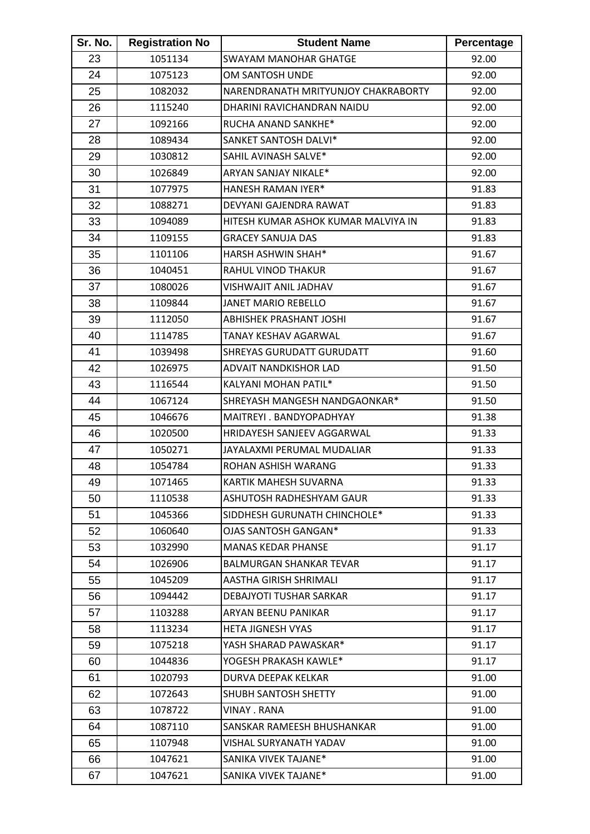| Sr. No. | <b>Registration No</b> | <b>Student Name</b>                 | Percentage |
|---------|------------------------|-------------------------------------|------------|
| 23      | 1051134                | <b>SWAYAM MANOHAR GHATGE</b>        | 92.00      |
| 24      | 1075123                | OM SANTOSH UNDE                     | 92.00      |
| 25      | 1082032                | NARENDRANATH MRITYUNJOY CHAKRABORTY | 92.00      |
| 26      | 1115240                | DHARINI RAVICHANDRAN NAIDU          | 92.00      |
| 27      | 1092166                | RUCHA ANAND SANKHE*                 | 92.00      |
| 28      | 1089434                | SANKET SANTOSH DALVI*               | 92.00      |
| 29      | 1030812                | SAHIL AVINASH SALVE*                | 92.00      |
| 30      | 1026849                | ARYAN SANJAY NIKALE*                | 92.00      |
| 31      | 1077975                | HANESH RAMAN IYER*                  | 91.83      |
| 32      | 1088271                | DEVYANI GAJENDRA RAWAT              | 91.83      |
| 33      | 1094089                | HITESH KUMAR ASHOK KUMAR MALVIYA IN | 91.83      |
| 34      | 1109155                | <b>GRACEY SANUJA DAS</b>            | 91.83      |
| 35      | 1101106                | <b>HARSH ASHWIN SHAH*</b>           | 91.67      |
| 36      | 1040451                | RAHUL VINOD THAKUR                  | 91.67      |
| 37      | 1080026                | VISHWAJIT ANIL JADHAV               | 91.67      |
| 38      | 1109844                | JANET MARIO REBELLO                 | 91.67      |
| 39      | 1112050                | <b>ABHISHEK PRASHANT JOSHI</b>      | 91.67      |
| 40      | 1114785                | TANAY KESHAV AGARWAL                | 91.67      |
| 41      | 1039498                | SHREYAS GURUDATT GURUDATT           | 91.60      |
| 42      | 1026975                | <b>ADVAIT NANDKISHOR LAD</b>        | 91.50      |
| 43      | 1116544                | KALYANI MOHAN PATIL*                | 91.50      |
| 44      | 1067124                | SHREYASH MANGESH NANDGAONKAR*       | 91.50      |
| 45      | 1046676                | MAITREYI . BANDYOPADHYAY            | 91.38      |
| 46      | 1020500                | HRIDAYESH SANJEEV AGGARWAL          | 91.33      |
| 47      | 1050271                | JAYALAXMI PERUMAL MUDALIAR          | 91.33      |
| 48      | 1054784                | ROHAN ASHISH WARANG                 | 91.33      |
| 49      | 1071465                | KARTIK MAHESH SUVARNA               | 91.33      |
| 50      | 1110538                | ASHUTOSH RADHESHYAM GAUR            | 91.33      |
| 51      | 1045366                | SIDDHESH GURUNATH CHINCHOLE*        | 91.33      |
| 52      | 1060640                | OJAS SANTOSH GANGAN*                | 91.33      |
| 53      | 1032990                | <b>MANAS KEDAR PHANSE</b>           | 91.17      |
| 54      | 1026906                | <b>BALMURGAN SHANKAR TEVAR</b>      | 91.17      |
| 55      | 1045209                | AASTHA GIRISH SHRIMALI              | 91.17      |
| 56      | 1094442                | <b>DEBAJYOTI TUSHAR SARKAR</b>      | 91.17      |
| 57      | 1103288                | ARYAN BEENU PANIKAR                 | 91.17      |
| 58      | 1113234                | <b>HETA JIGNESH VYAS</b>            | 91.17      |
| 59      | 1075218                | YASH SHARAD PAWASKAR*               | 91.17      |
| 60      | 1044836                | YOGESH PRAKASH KAWLE*               | 91.17      |
| 61      | 1020793                | DURVA DEEPAK KELKAR                 | 91.00      |
| 62      | 1072643                | SHUBH SANTOSH SHETTY                | 91.00      |
| 63      | 1078722                | VINAY . RANA                        | 91.00      |
| 64      | 1087110                | SANSKAR RAMEESH BHUSHANKAR          | 91.00      |
| 65      | 1107948                | VISHAL SURYANATH YADAV              | 91.00      |
| 66      | 1047621                | SANIKA VIVEK TAJANE*                | 91.00      |
| 67      | 1047621                | SANIKA VIVEK TAJANE*                | 91.00      |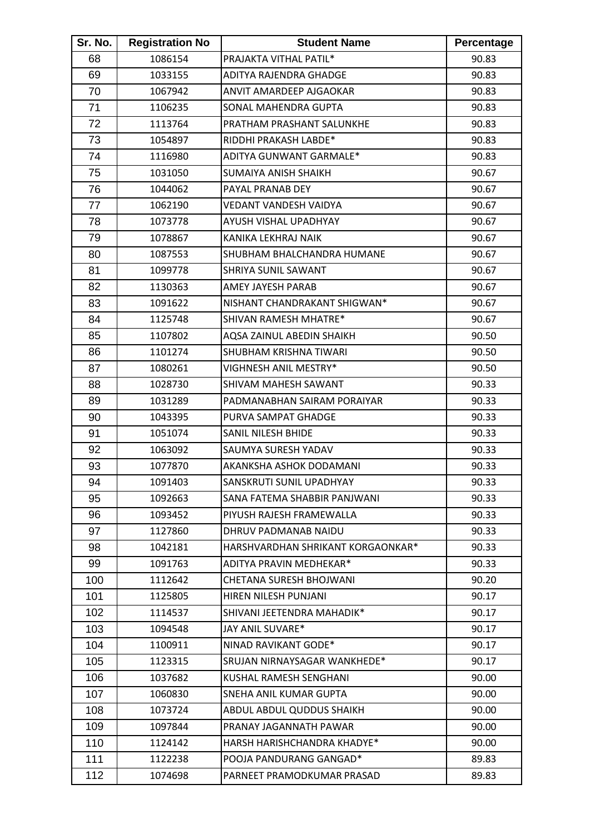| Sr. No. | <b>Registration No</b> | <b>Student Name</b>               | Percentage |
|---------|------------------------|-----------------------------------|------------|
| 68      | 1086154                | PRAJAKTA VITHAL PATIL*            | 90.83      |
| 69      | 1033155                | ADITYA RAJENDRA GHADGE            | 90.83      |
| 70      | 1067942                | ANVIT AMARDEEP AJGAOKAR           | 90.83      |
| 71      | 1106235                | SONAL MAHENDRA GUPTA              | 90.83      |
| 72      | 1113764                | PRATHAM PRASHANT SALUNKHE         | 90.83      |
| 73      | 1054897                | RIDDHI PRAKASH LABDE*             | 90.83      |
| 74      | 1116980                | ADITYA GUNWANT GARMALE*           | 90.83      |
| 75      | 1031050                | <b>SUMAIYA ANISH SHAIKH</b>       | 90.67      |
| 76      | 1044062                | PAYAL PRANAB DEY                  | 90.67      |
| 77      | 1062190                | VEDANT VANDESH VAIDYA             | 90.67      |
| 78      | 1073778                | AYUSH VISHAL UPADHYAY             | 90.67      |
| 79      | 1078867                | KANIKA LEKHRAJ NAIK               | 90.67      |
| 80      | 1087553                | SHUBHAM BHALCHANDRA HUMANE        | 90.67      |
| 81      | 1099778                | SHRIYA SUNIL SAWANT               | 90.67      |
| 82      | 1130363                | AMEY JAYESH PARAB                 | 90.67      |
| 83      | 1091622                | NISHANT CHANDRAKANT SHIGWAN*      | 90.67      |
| 84      | 1125748                | <b>SHIVAN RAMESH MHATRE*</b>      | 90.67      |
| 85      | 1107802                | AQSA ZAINUL ABEDIN SHAIKH         | 90.50      |
| 86      | 1101274                | SHUBHAM KRISHNA TIWARI            | 90.50      |
| 87      | 1080261                | VIGHNESH ANIL MESTRY*             | 90.50      |
| 88      | 1028730                | SHIVAM MAHESH SAWANT              | 90.33      |
| 89      | 1031289                | PADMANABHAN SAIRAM PORAIYAR       | 90.33      |
| 90      | 1043395                | PURVA SAMPAT GHADGE               | 90.33      |
| 91      | 1051074                | SANIL NILESH BHIDE                | 90.33      |
| 92      | 1063092                | SAUMYA SURESH YADAV               | 90.33      |
| 93      | 1077870                | AKANKSHA ASHOK DODAMANI           | 90.33      |
| 94      | 1091403                | <b>SANSKRUTI SUNIL UPADHYAY</b>   | 90.33      |
| 95      | 1092663                | SANA FATEMA SHABBIR PANJWANI      | 90.33      |
| 96      | 1093452                | PIYUSH RAJESH FRAMEWALLA          | 90.33      |
| 97      | 1127860                | DHRUV PADMANAB NAIDU              | 90.33      |
| 98      | 1042181                | HARSHVARDHAN SHRIKANT KORGAONKAR* | 90.33      |
| 99      | 1091763                | ADITYA PRAVIN MEDHEKAR*           | 90.33      |
| 100     | 1112642                | CHETANA SURESH BHOJWANI           | 90.20      |
| 101     | 1125805                | HIREN NILESH PUNJANI              | 90.17      |
| 102     | 1114537                | SHIVANI JEETENDRA MAHADIK*        | 90.17      |
| 103     | 1094548                | JAY ANIL SUVARE*                  | 90.17      |
| 104     | 1100911                | NINAD RAVIKANT GODE*              | 90.17      |
| 105     | 1123315                | SRUJAN NIRNAYSAGAR WANKHEDE*      | 90.17      |
| 106     | 1037682                | KUSHAL RAMESH SENGHANI            | 90.00      |
| 107     | 1060830                | SNEHA ANIL KUMAR GUPTA            | 90.00      |
| 108     | 1073724                | ABDUL ABDUL QUDDUS SHAIKH         | 90.00      |
| 109     | 1097844                | PRANAY JAGANNATH PAWAR            | 90.00      |
| 110     | 1124142                | HARSH HARISHCHANDRA KHADYE*       | 90.00      |
| 111     | 1122238                | POOJA PANDURANG GANGAD*           | 89.83      |
| 112     | 1074698                | PARNEET PRAMODKUMAR PRASAD        | 89.83      |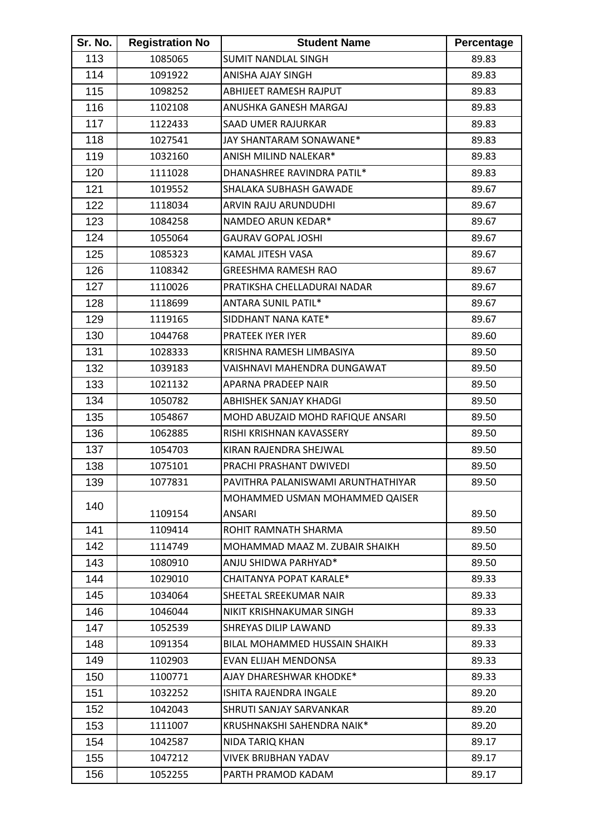| Sr. No. | <b>Registration No</b> | <b>Student Name</b>                | Percentage |
|---------|------------------------|------------------------------------|------------|
| 113     | 1085065                | <b>SUMIT NANDLAL SINGH</b>         | 89.83      |
| 114     | 1091922                | ANISHA AJAY SINGH                  | 89.83      |
| 115     | 1098252                | ABHIJEET RAMESH RAJPUT             | 89.83      |
| 116     | 1102108                | ANUSHKA GANESH MARGAJ              | 89.83      |
| 117     | 1122433                | SAAD UMER RAJURKAR                 | 89.83      |
| 118     | 1027541                | JAY SHANTARAM SONAWANE*            | 89.83      |
| 119     | 1032160                | ANISH MILIND NALEKAR*              | 89.83      |
| 120     | 1111028                | DHANASHREE RAVINDRA PATIL*         | 89.83      |
| 121     | 1019552                | SHALAKA SUBHASH GAWADE             | 89.67      |
| 122     | 1118034                | ARVIN RAJU ARUNDUDHI               | 89.67      |
| 123     | 1084258                | NAMDEO ARUN KEDAR*                 | 89.67      |
| 124     | 1055064                | <b>GAURAV GOPAL JOSHI</b>          | 89.67      |
| 125     | 1085323                | KAMAL JITESH VASA                  | 89.67      |
| 126     | 1108342                | <b>GREESHMA RAMESH RAO</b>         | 89.67      |
| 127     | 1110026                | PRATIKSHA CHELLADURAI NADAR        | 89.67      |
| 128     | 1118699                | <b>ANTARA SUNIL PATIL*</b>         | 89.67      |
| 129     | 1119165                | SIDDHANT NANA KATE*                | 89.67      |
| 130     | 1044768                | PRATEEK IYER IYER                  | 89.60      |
| 131     | 1028333                | KRISHNA RAMESH LIMBASIYA           | 89.50      |
| 132     | 1039183                | VAISHNAVI MAHENDRA DUNGAWAT        | 89.50      |
| 133     | 1021132                | APARNA PRADEEP NAIR                | 89.50      |
| 134     | 1050782                | <b>ABHISHEK SANJAY KHADGI</b>      | 89.50      |
| 135     | 1054867                | MOHD ABUZAID MOHD RAFIQUE ANSARI   | 89.50      |
| 136     | 1062885                | RISHI KRISHNAN KAVASSERY           | 89.50      |
| 137     | 1054703                | KIRAN RAJENDRA SHEJWAL             | 89.50      |
| 138     | 1075101                | PRACHI PRASHANT DWIVEDI            | 89.50      |
| 139     | 1077831                | PAVITHRA PALANISWAMI ARUNTHATHIYAR | 89.50      |
| 140     |                        | MOHAMMED USMAN MOHAMMED QAISER     |            |
|         | 1109154                | ANSARI                             | 89.50      |
| 141     | 1109414                | ROHIT RAMNATH SHARMA               | 89.50      |
| 142     | 1114749                | MOHAMMAD MAAZ M. ZUBAIR SHAIKH     | 89.50      |
| 143     | 1080910                | ANJU SHIDWA PARHYAD*               | 89.50      |
| 144     | 1029010                | CHAITANYA POPAT KARALE*            | 89.33      |
| 145     | 1034064                | SHEETAL SREEKUMAR NAIR             | 89.33      |
| 146     | 1046044                | NIKIT KRISHNAKUMAR SINGH           | 89.33      |
| 147     | 1052539                | SHREYAS DILIP LAWAND               | 89.33      |
| 148     | 1091354                | BILAL MOHAMMED HUSSAIN SHAIKH      | 89.33      |
| 149     | 1102903                | EVAN ELIJAH MENDONSA               | 89.33      |
| 150     | 1100771                | AJAY DHARESHWAR KHODKE*            | 89.33      |
| 151     | 1032252                | ISHITA RAJENDRA INGALE             | 89.20      |
| 152     | 1042043                | SHRUTI SANJAY SARVANKAR            | 89.20      |
| 153     | 1111007                | KRUSHNAKSHI SAHENDRA NAIK*         | 89.20      |
| 154     | 1042587                | NIDA TARIQ KHAN                    | 89.17      |
| 155     | 1047212                | VIVEK BRIJBHAN YADAV               | 89.17      |
| 156     | 1052255                | PARTH PRAMOD KADAM                 | 89.17      |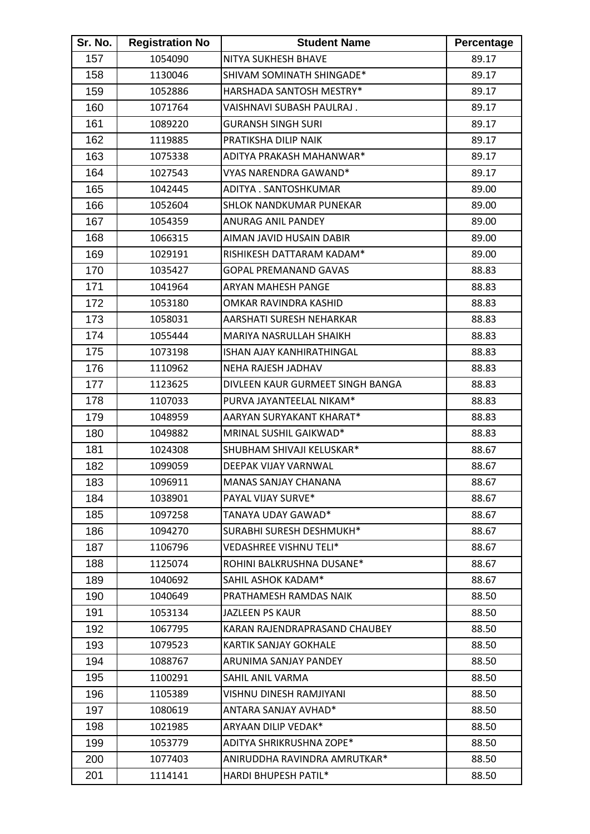| Sr. No. | <b>Registration No</b> | <b>Student Name</b>              | Percentage |
|---------|------------------------|----------------------------------|------------|
| 157     | 1054090                | NITYA SUKHESH BHAVE              | 89.17      |
| 158     | 1130046                | SHIVAM SOMINATH SHINGADE*        | 89.17      |
| 159     | 1052886                | HARSHADA SANTOSH MESTRY*         | 89.17      |
| 160     | 1071764                | VAISHNAVI SUBASH PAULRAJ.        | 89.17      |
| 161     | 1089220                | <b>GURANSH SINGH SURI</b>        | 89.17      |
| 162     | 1119885                | PRATIKSHA DILIP NAIK             | 89.17      |
| 163     | 1075338                | ADITYA PRAKASH MAHANWAR*         | 89.17      |
| 164     | 1027543                | VYAS NARENDRA GAWAND*            | 89.17      |
| 165     | 1042445                | ADITYA . SANTOSHKUMAR            | 89.00      |
| 166     | 1052604                | SHLOK NANDKUMAR PUNEKAR          | 89.00      |
| 167     | 1054359                | ANURAG ANIL PANDEY               | 89.00      |
| 168     | 1066315                | AIMAN JAVID HUSAIN DABIR         | 89.00      |
| 169     | 1029191                | RISHIKESH DATTARAM KADAM*        | 89.00      |
| 170     | 1035427                | <b>GOPAL PREMANAND GAVAS</b>     | 88.83      |
| 171     | 1041964                | ARYAN MAHESH PANGE               | 88.83      |
| 172     | 1053180                | OMKAR RAVINDRA KASHID            | 88.83      |
| 173     | 1058031                | AARSHATI SURESH NEHARKAR         | 88.83      |
| 174     | 1055444                | MARIYA NASRULLAH SHAIKH          | 88.83      |
| 175     | 1073198                | <b>ISHAN AJAY KANHIRATHINGAL</b> | 88.83      |
| 176     | 1110962                | NEHA RAJESH JADHAV               | 88.83      |
| 177     | 1123625                | DIVLEEN KAUR GURMEET SINGH BANGA | 88.83      |
| 178     | 1107033                | PURVA JAYANTEELAL NIKAM*         | 88.83      |
| 179     | 1048959                | AARYAN SURYAKANT KHARAT*         | 88.83      |
| 180     | 1049882                | MRINAL SUSHIL GAIKWAD*           | 88.83      |
| 181     | 1024308                | SHUBHAM SHIVAJI KELUSKAR*        | 88.67      |
| 182     | 1099059                | DEEPAK VIJAY VARNWAL             | 88.67      |
| 183     | 1096911                | MANAS SANJAY CHANANA             | 88.67      |
| 184     | 1038901                | PAYAL VIJAY SURVE*               | 88.67      |
| 185     | 1097258                | TANAYA UDAY GAWAD*               | 88.67      |
| 186     | 1094270                | SURABHI SURESH DESHMUKH*         | 88.67      |
| 187     | 1106796                | VEDASHREE VISHNU TELI*           | 88.67      |
| 188     | 1125074                | ROHINI BALKRUSHNA DUSANE*        | 88.67      |
| 189     | 1040692                | SAHIL ASHOK KADAM*               | 88.67      |
| 190     | 1040649                | PRATHAMESH RAMDAS NAIK           | 88.50      |
| 191     | 1053134                | <b>JAZLEEN PS KAUR</b>           | 88.50      |
| 192     | 1067795                | KARAN RAJENDRAPRASAND CHAUBEY    | 88.50      |
| 193     | 1079523                | KARTIK SANJAY GOKHALE            | 88.50      |
| 194     | 1088767                | ARUNIMA SANJAY PANDEY            | 88.50      |
| 195     | 1100291                | SAHIL ANIL VARMA                 | 88.50      |
| 196     | 1105389                | VISHNU DINESH RAMJIYANI          | 88.50      |
| 197     | 1080619                | ANTARA SANJAY AVHAD*             | 88.50      |
| 198     | 1021985                | ARYAAN DILIP VEDAK*              | 88.50      |
| 199     | 1053779                | ADITYA SHRIKRUSHNA ZOPE*         | 88.50      |
| 200     | 1077403                | ANIRUDDHA RAVINDRA AMRUTKAR*     | 88.50      |
| 201     | 1114141                | HARDI BHUPESH PATIL*             | 88.50      |